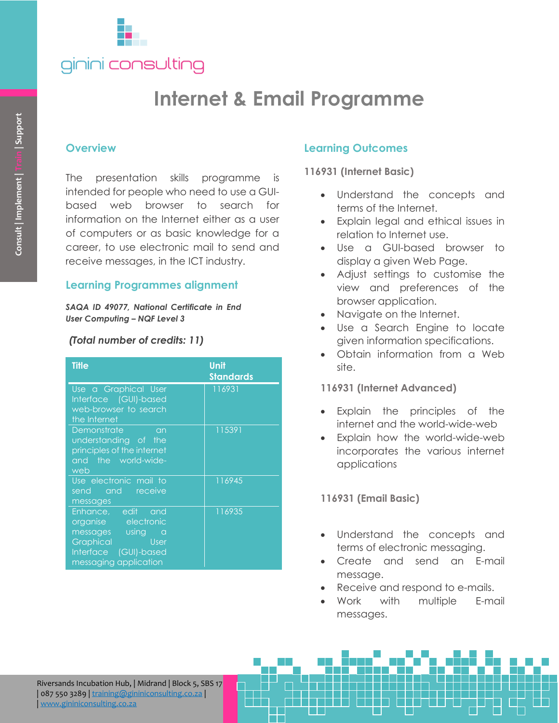

# **Internet & Email Programme**

### **Overview**

## **Learning Programmes alignment**

### *(Total number of credits: 11)*

| Consult   Implement   Train   Support | <b>Overview</b><br>presentation skills programme is<br><b>The</b><br>intended for people who need to use a GUI-<br>based web browser to search for<br>information on the Internet either as a user<br>of computers or as basic knowledge for a<br>career, to use electronic mail to send and<br>receive messages, in the ICT industry. |                          |
|---------------------------------------|----------------------------------------------------------------------------------------------------------------------------------------------------------------------------------------------------------------------------------------------------------------------------------------------------------------------------------------|--------------------------|
|                                       | <b>Learning Programmes alignment</b>                                                                                                                                                                                                                                                                                                   |                          |
|                                       | SAQA ID 49077, National Certificate in End<br><b>User Computing - NQF Level 3</b>                                                                                                                                                                                                                                                      |                          |
| (Total number of credits: 11)         |                                                                                                                                                                                                                                                                                                                                        |                          |
|                                       | <b>Title</b>                                                                                                                                                                                                                                                                                                                           | Unit<br><b>Standards</b> |
|                                       | Use a Graphical User<br>Interface (GUI)-based<br>web-browser to search<br>the Internet                                                                                                                                                                                                                                                 | 116931                   |
|                                       | Demonstrate<br>an<br>understanding of the<br>principles of the internet<br>the world-wide-<br>and<br>web                                                                                                                                                                                                                               | 115391                   |
|                                       | Use electronic mail to<br>send and receive                                                                                                                                                                                                                                                                                             | 116945                   |
|                                       | messages<br>Enhance, edit<br>and<br>organise electronic<br>using<br>messages<br>$\alpha$<br>Graphical<br><b>User</b><br>Interface<br>(GUI)-based<br>messaging application                                                                                                                                                              | 116935                   |
|                                       |                                                                                                                                                                                                                                                                                                                                        |                          |
|                                       |                                                                                                                                                                                                                                                                                                                                        |                          |
|                                       | Riversands Incubation Hub,   Midrand   Block 5, SBS 17<br>087 550 3289   training@gininiconsulting.co.za<br>www.gininiconsulting.co.za                                                                                                                                                                                                 |                          |

# **Learning Outcomes**

**116931 (Internet Basic)**

- Understand the concepts and terms of the Internet.
- Explain legal and ethical issues in relation to Internet use.
- Use a GUI-based browser to display a given Web Page.
- Adjust settings to customise the view and preferences of the browser application.
- Navigate on the Internet.
- Use a Search Engine to locate given information specifications.
- Obtain information from a Web site.

### **116931 (Internet Advanced)**

- Explain the principles of the internet and the world-wide-web
- Explain how the world-wide-web incorporates the various internet applications

**116931 (Email Basic)**

- Understand the concepts and terms of electronic messaging.
- Create and send an E-mail message.
- Receive and respond to e-mails.
- Work with multiple E-mail messages.